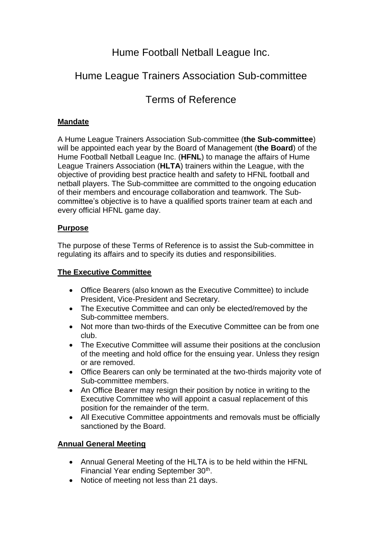# Hume Football Netball League Inc.

# Hume League Trainers Association Sub-committee

# Terms of Reference

## **Mandate**

A Hume League Trainers Association Sub-committee (**the Sub-committee**) will be appointed each year by the Board of Management (**the Board**) of the Hume Football Netball League Inc. (**HFNL**) to manage the affairs of Hume League Trainers Association (**HLTA**) trainers within the League, with the objective of providing best practice health and safety to HFNL football and netball players. The Sub-committee are committed to the ongoing education of their members and encourage collaboration and teamwork. The Subcommittee's objective is to have a qualified sports trainer team at each and every official HFNL game day.

## **Purpose**

The purpose of these Terms of Reference is to assist the Sub-committee in regulating its affairs and to specify its duties and responsibilities.

# **The Executive Committee**

- Office Bearers (also known as the Executive Committee) to include President, Vice-President and Secretary.
- The Executive Committee and can only be elected/removed by the Sub-committee members.
- Not more than two-thirds of the Executive Committee can be from one club.
- The Executive Committee will assume their positions at the conclusion of the meeting and hold office for the ensuing year. Unless they resign or are removed.
- Office Bearers can only be terminated at the two-thirds majority vote of Sub-committee members.
- An Office Bearer may resign their position by notice in writing to the Executive Committee who will appoint a casual replacement of this position for the remainder of the term.
- All Executive Committee appointments and removals must be officially sanctioned by the Board.

## **Annual General Meeting**

- Annual General Meeting of the HLTA is to be held within the HFNL Financial Year ending September 30<sup>th</sup>.
- Notice of meeting not less than 21 days.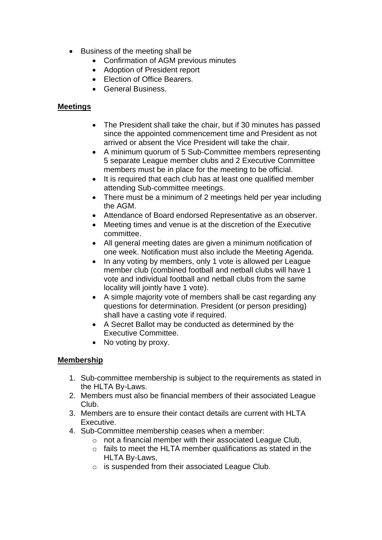- Business of the meeting shall be
	- Confirmation of AGM previous minutes
	- Adoption of President report
	- Election of Office Bearers.
	- General Business.

### **Meetings**

- The President shall take the chair, but if 30 minutes has passed since the appointed commencement time and President as not arrived or absent the Vice President will take the chair.
- A minimum quorum of 5 Sub-Committee members representing 5 separate League member clubs and 2 Executive Committee members must be in place for the meeting to be official.
- It is required that each club has at least one qualified member attending Sub-committee meetings.
- There must be a minimum of 2 meetings held per year including the AGM.
- Attendance of Board endorsed Representative as an observer.
- Meeting times and venue is at the discretion of the Executive committee.
- All general meeting dates are given a minimum notification of one week. Notification must also include the Meeting Agenda.
- In any voting by members, only 1 vote is allowed per League member club (combined football and netball clubs will have 1 vote and individual football and netball clubs from the same locality will jointly have 1 vote).
- A simple majority vote of members shall be cast regarding any questions for determination. President (or person presiding) shall have a casting vote if required.
- A Secret Ballot may be conducted as determined by the Executive Committee.
- No voting by proxy.

### **Membership**

- 1. Sub-committee membership is subject to the requirements as stated in the HLTA By-Laws.
- 2. Members must also be financial members of their associated League Club.
- 3. Members are to ensure their contact details are current with HLTA Executive.
- 4. Sub-Committee membership ceases when a member:
	- o not a financial member with their associated League Club,
	- o fails to meet the HLTA member qualifications as stated in the HLTA By-Laws,
	- o is suspended from their associated League Club.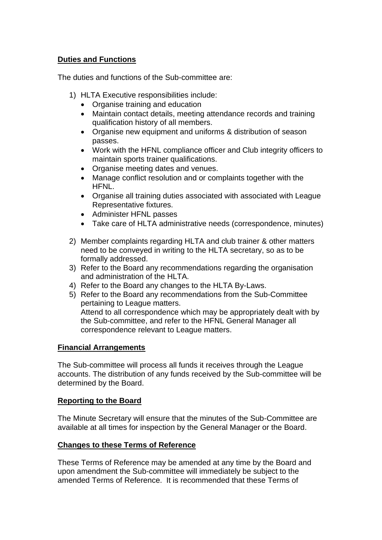## **Duties and Functions**

The duties and functions of the Sub-committee are:

- 1) HLTA Executive responsibilities include:
	- Organise training and education
	- Maintain contact details, meeting attendance records and training qualification history of all members.
	- Organise new equipment and uniforms & distribution of season passes.
	- Work with the HFNL compliance officer and Club integrity officers to maintain sports trainer qualifications.
	- Organise meeting dates and venues.
	- Manage conflict resolution and or complaints together with the HFNL.
	- Organise all training duties associated with associated with League Representative fixtures.
	- Administer HFNL passes
	- Take care of HLTA administrative needs (correspondence, minutes)
- 2) Member complaints regarding HLTA and club trainer & other matters need to be conveyed in writing to the HLTA secretary, so as to be formally addressed.
- 3) Refer to the Board any recommendations regarding the organisation and administration of the HLTA.
- 4) Refer to the Board any changes to the HLTA By-Laws.
- 5) Refer to the Board any recommendations from the Sub-Committee pertaining to League matters. Attend to all correspondence which may be appropriately dealt with by the Sub-committee, and refer to the HFNL General Manager all correspondence relevant to League matters.

### **Financial Arrangements**

The Sub-committee will process all funds it receives through the League accounts. The distribution of any funds received by the Sub-committee will be determined by the Board.

### **Reporting to the Board**

The Minute Secretary will ensure that the minutes of the Sub-Committee are available at all times for inspection by the General Manager or the Board.

### **Changes to these Terms of Reference**

These Terms of Reference may be amended at any time by the Board and upon amendment the Sub-committee will immediately be subject to the amended Terms of Reference. It is recommended that these Terms of